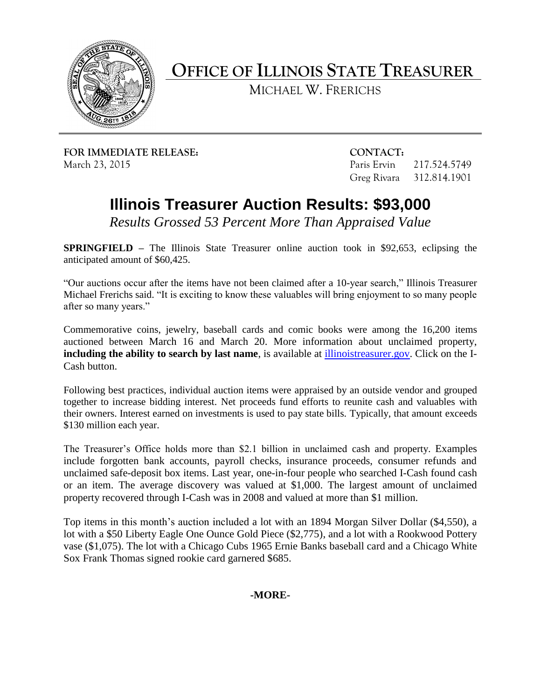

**OFFICE OF ILLINOIS STATE TREASURER**

MICHAEL W. FRERICHS

**FOR IMMEDIATE RELEASE: CONTACT:** March 23, 2015 Paris Ervin 217.524.5749

Greg Rivara 312.814.1901

## **Illinois Treasurer Auction Results: \$93,000**

*Results Grossed 53 Percent More Than Appraised Value*

**SPRINGFIELD –** The Illinois State Treasurer online auction took in \$92,653, eclipsing the anticipated amount of \$60,425.

"Our auctions occur after the items have not been claimed after a 10-year search," Illinois Treasurer Michael Frerichs said. "It is exciting to know these valuables will bring enjoyment to so many people after so many years."

Commemorative coins, jewelry, baseball cards and comic books were among the 16,200 items auctioned between March 16 and March 20. More information about unclaimed property, **including the ability to search by last name**, is available at [illinoistreasurer.gov.](http://www.illinoistreasurer.gov/) Click on the I-Cash button.

Following best practices, individual auction items were appraised by an outside vendor and grouped together to increase bidding interest. Net proceeds fund efforts to reunite cash and valuables with their owners. Interest earned on investments is used to pay state bills. Typically, that amount exceeds \$130 million each year.

The Treasurer's Office holds more than \$2.1 billion in unclaimed cash and property. Examples include forgotten bank accounts, payroll checks, insurance proceeds, consumer refunds and unclaimed safe-deposit box items. Last year, one-in-four people who searched I-Cash found cash or an item. The average discovery was valued at \$1,000. The largest amount of unclaimed property recovered through I-Cash was in 2008 and valued at more than \$1 million.

Top items in this month's auction included a lot with an 1894 Morgan Silver Dollar (\$4,550), a lot with a \$50 Liberty Eagle One Ounce Gold Piece (\$2,775), and a lot with a Rookwood Pottery vase (\$1,075). The lot with a Chicago Cubs 1965 Ernie Banks baseball card and a Chicago White Sox Frank Thomas signed rookie card garnered \$685.

**-MORE-**